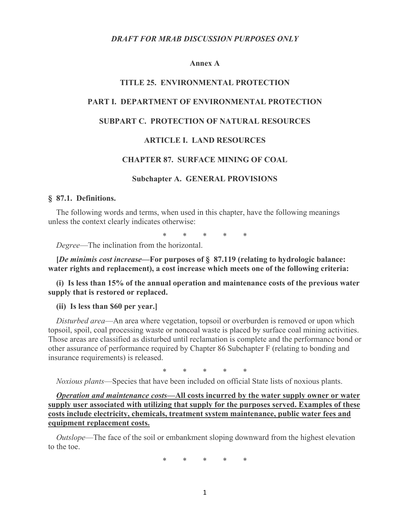#### **Annex A**

### **TITLE 25. ENVIRONMENTAL PROTECTION**

### **PART I. DEPARTMENT OF ENVIRONMENTAL PROTECTION**

## **SUBPART C. PROTECTION OF NATURAL RESOURCES**

### **ARTICLE I. LAND RESOURCES**

### **CHAPTER 87. SURFACE MINING OF COAL**

#### **Subchapter A. GENERAL PROVISIONS**

### **§ 87.1. Definitions.**

The following words and terms, when used in this chapter, have the following meanings unless the context clearly indicates otherwise:

\* \* \* \* \*

*Degree*—The inclination from the horizontal.

**[***De minimis cost increase***—For purposes of § 87.119 (relating to hydrologic balance: water rights and replacement), a cost increase which meets one of the following criteria:**

**(i) Is less than 15% of the annual operation and maintenance costs of the previous water supply that is restored or replaced.**

**(ii) Is less than \$60 per year.]**

*Disturbed area*—An area where vegetation, topsoil or overburden is removed or upon which topsoil, spoil, coal processing waste or noncoal waste is placed by surface coal mining activities. Those areas are classified as disturbed until reclamation is complete and the performance bond or other assurance of performance required by Chapter 86 Subchapter F (relating to bonding and insurance requirements) is released.

\* \* \* \* \*

*Noxious plants*—Species that have been included on official State lists of noxious plants.

*Operation and maintenance costs***—All costs incurred by the water supply owner or water supply user associated with utilizing that supply for the purposes served. Examples of these costs include electricity, chemicals, treatment system maintenance, public water fees and equipment replacement costs.**

*Outslope*—The face of the soil or embankment sloping downward from the highest elevation to the toe.

\* \* \* \* \*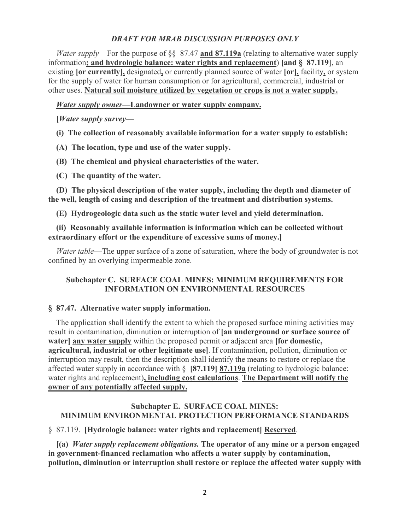*Water supply*—For the purpose of §§ 87.47 **and 87.119a** (relating to alternative water supply information**; and hydrologic balance: water rights and replacement**) **[and § 87.119]**, an existing **[or currently],** designated**,** or currently planned source of water **[or],** facility**,** or system for the supply of water for human consumption or for agricultural, commercial, industrial or other uses. **Natural soil moisture utilized by vegetation or crops is not a water supply.**

## *Water supply owner***—Landowner or water supply company.**

**[***Water supply survey***—**

**(i) The collection of reasonably available information for a water supply to establish:**

- **(A) The location, type and use of the water supply.**
- **(B) The chemical and physical characteristics of the water.**
- **(C) The quantity of the water.**

**(D) The physical description of the water supply, including the depth and diameter of the well, length of casing and description of the treatment and distribution systems.**

**(E) Hydrogeologic data such as the static water level and yield determination.**

# **(ii) Reasonably available information is information which can be collected without extraordinary effort or the expenditure of excessive sums of money.]**

*Water table*—The upper surface of a zone of saturation, where the body of groundwater is not confined by an overlying impermeable zone.

# **Subchapter C. SURFACE COAL MINES: MINIMUM REQUIREMENTS FOR INFORMATION ON ENVIRONMENTAL RESOURCES**

## **§ 87.47. Alternative water supply information.**

The application shall identify the extent to which the proposed surface mining activities may result in contamination, diminution or interruption of **[an underground or surface source of water] any water supply** within the proposed permit or adjacent area **[for domestic, agricultural, industrial or other legitimate use]**. If contamination, pollution, diminution or interruption may result, then the description shall identify the means to restore or replace the affected water supply in accordance with § **[87.119] 87.119a** (relating to hydrologic balance: water rights and replacement)**, including cost calculations**. **The Department will notify the owner of any potentially affected supply.**

# **Subchapter E. SURFACE COAL MINES: MINIMUM ENVIRONMENTAL PROTECTION PERFORMANCE STANDARDS**

# § 87.119. **[Hydrologic balance: water rights and replacement] Reserved**.

**[(a)** *Water supply replacement obligations.* **The operator of any mine or a person engaged in government-financed reclamation who affects a water supply by contamination, pollution, diminution or interruption shall restore or replace the affected water supply with**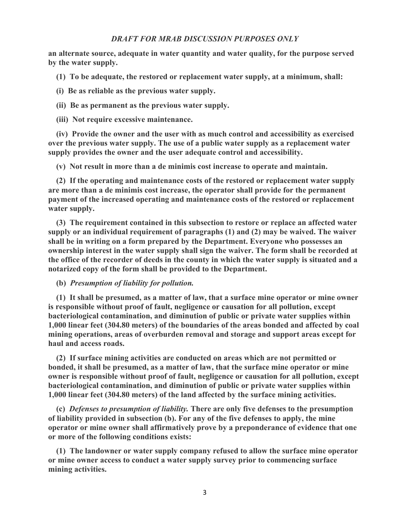**an alternate source, adequate in water quantity and water quality, for the purpose served by the water supply.**

**(1) To be adequate, the restored or replacement water supply, at a minimum, shall:**

**(i) Be as reliable as the previous water supply.**

**(ii) Be as permanent as the previous water supply.**

**(iii) Not require excessive maintenance.**

**(iv) Provide the owner and the user with as much control and accessibility as exercised over the previous water supply. The use of a public water supply as a replacement water supply provides the owner and the user adequate control and accessibility.**

**(v) Not result in more than a de minimis cost increase to operate and maintain.**

**(2) If the operating and maintenance costs of the restored or replacement water supply are more than a de minimis cost increase, the operator shall provide for the permanent payment of the increased operating and maintenance costs of the restored or replacement water supply.**

**(3) The requirement contained in this subsection to restore or replace an affected water supply or an individual requirement of paragraphs (1) and (2) may be waived. The waiver shall be in writing on a form prepared by the Department. Everyone who possesses an ownership interest in the water supply shall sign the waiver. The form shall be recorded at the office of the recorder of deeds in the county in which the water supply is situated and a notarized copy of the form shall be provided to the Department.**

**(b)** *Presumption of liability for pollution.*

**(1) It shall be presumed, as a matter of law, that a surface mine operator or mine owner is responsible without proof of fault, negligence or causation for all pollution, except bacteriological contamination, and diminution of public or private water supplies within 1,000 linear feet (304.80 meters) of the boundaries of the areas bonded and affected by coal mining operations, areas of overburden removal and storage and support areas except for haul and access roads.**

**(2) If surface mining activities are conducted on areas which are not permitted or bonded, it shall be presumed, as a matter of law, that the surface mine operator or mine owner is responsible without proof of fault, negligence or causation for all pollution, except bacteriological contamination, and diminution of public or private water supplies within 1,000 linear feet (304.80 meters) of the land affected by the surface mining activities.**

**(c)** *Defenses to presumption of liability.* **There are only five defenses to the presumption of liability provided in subsection (b). For any of the five defenses to apply, the mine operator or mine owner shall affirmatively prove by a preponderance of evidence that one or more of the following conditions exists:**

**(1) The landowner or water supply company refused to allow the surface mine operator or mine owner access to conduct a water supply survey prior to commencing surface mining activities.**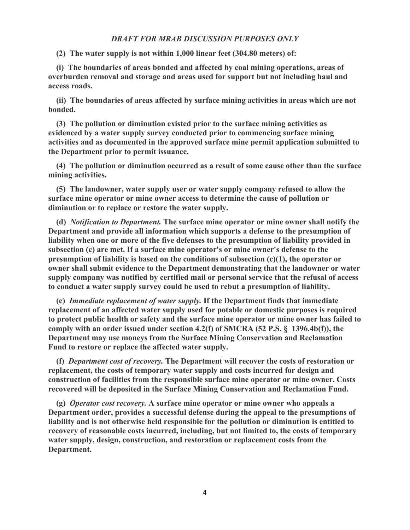**(2) The water supply is not within 1,000 linear feet (304.80 meters) of:**

**(i) The boundaries of areas bonded and affected by coal mining operations, areas of overburden removal and storage and areas used for support but not including haul and access roads.**

**(ii) The boundaries of areas affected by surface mining activities in areas which are not bonded.**

**(3) The pollution or diminution existed prior to the surface mining activities as evidenced by a water supply survey conducted prior to commencing surface mining activities and as documented in the approved surface mine permit application submitted to the Department prior to permit issuance.**

**(4) The pollution or diminution occurred as a result of some cause other than the surface mining activities.**

**(5) The landowner, water supply user or water supply company refused to allow the surface mine operator or mine owner access to determine the cause of pollution or diminution or to replace or restore the water supply.**

**(d)** *Notification to Department.* **The surface mine operator or mine owner shall notify the Department and provide all information which supports a defense to the presumption of liability when one or more of the five defenses to the presumption of liability provided in subsection (c) are met. If a surface mine operator's or mine owner's defense to the presumption of liability is based on the conditions of subsection (c)(1), the operator or owner shall submit evidence to the Department demonstrating that the landowner or water supply company was notified by certified mail or personal service that the refusal of access to conduct a water supply survey could be used to rebut a presumption of liability.**

**(e)** *Immediate replacement of water supply.* **If the Department finds that immediate replacement of an affected water supply used for potable or domestic purposes is required to protect public health or safety and the surface mine operator or mine owner has failed to comply with an order issued under section 4.2(f) of SMCRA (52 P.S. § 1396.4b(f)), the Department may use moneys from the Surface Mining Conservation and Reclamation Fund to restore or replace the affected water supply.**

**(f)** *Department cost of recovery.* **The Department will recover the costs of restoration or replacement, the costs of temporary water supply and costs incurred for design and construction of facilities from the responsible surface mine operator or mine owner. Costs recovered will be deposited in the Surface Mining Conservation and Reclamation Fund.**

**(g)** *Operator cost recovery.* **A surface mine operator or mine owner who appeals a Department order, provides a successful defense during the appeal to the presumptions of liability and is not otherwise held responsible for the pollution or diminution is entitled to recovery of reasonable costs incurred, including, but not limited to, the costs of temporary water supply, design, construction, and restoration or replacement costs from the Department.**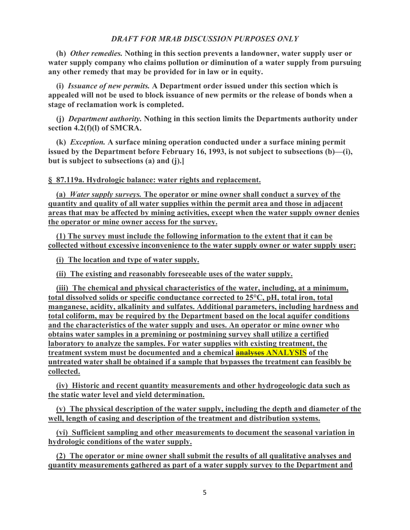**(h)** *Other remedies.* **Nothing in this section prevents a landowner, water supply user or water supply company who claims pollution or diminution of a water supply from pursuing any other remedy that may be provided for in law or in equity.**

**(i)** *Issuance of new permits.* **A Department order issued under this section which is appealed will not be used to block issuance of new permits or the release of bonds when a stage of reclamation work is completed.**

**(j)** *Department authority.* **Nothing in this section limits the Departments authority under section 4.2(f)(l) of SMCRA.**

**(k)** *Exception.* **A surface mining operation conducted under a surface mining permit issued by the Department before February 16, 1993, is not subject to subsections (b)—(i), but is subject to subsections (a) and (j).]**

### **§ 87.119a. Hydrologic balance: water rights and replacement.**

**(a)** *Water supply surveys.* **The operator or mine owner shall conduct a survey of the quantity and quality of all water supplies within the permit area and those in adjacent areas that may be affected by mining activities, except when the water supply owner denies the operator or mine owner access for the survey.**

**(1) The survey must include the following information to the extent that it can be collected without excessive inconvenience to the water supply owner or water supply user:**

**(i) The location and type of water supply.**

**(ii) The existing and reasonably foreseeable uses of the water supply.**

**(iii) The chemical and physical characteristics of the water, including, at a minimum, total dissolved solids or specific conductance corrected to 25°C, pH, total iron, total manganese, acidity, alkalinity and sulfates. Additional parameters, including hardness and total coliform, may be required by the Department based on the local aquifer conditions and the characteristics of the water supply and uses. An operator or mine owner who obtains water samples in a premining or postmining survey shall utilize a certified laboratory to analyze the samples. For water supplies with existing treatment, the treatment system must be documented and a chemical analyses ANALYSIS of the untreated water shall be obtained if a sample that bypasses the treatment can feasibly be collected.**

**(iv) Historic and recent quantity measurements and other hydrogeologic data such as the static water level and yield determination.**

**(v) The physical description of the water supply, including the depth and diameter of the well, length of casing and description of the treatment and distribution systems.**

**(vi) Sufficient sampling and other measurements to document the seasonal variation in hydrologic conditions of the water supply.**

**(2) The operator or mine owner shall submit the results of all qualitative analyses and quantity measurements gathered as part of a water supply survey to the Department and**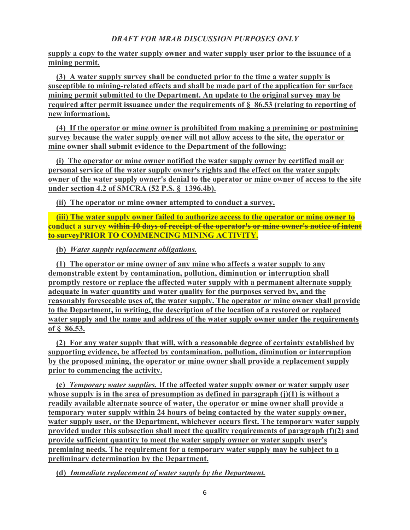**supply a copy to the water supply owner and water supply user prior to the issuance of a mining permit.**

**(3) A water supply survey shall be conducted prior to the time a water supply is susceptible to mining-related effects and shall be made part of the application for surface mining permit submitted to the Department. An update to the original survey may be required after permit issuance under the requirements of § 86.53 (relating to reporting of new information).**

**(4) If the operator or mine owner is prohibited from making a premining or postmining survey because the water supply owner will not allow access to the site, the operator or mine owner shall submit evidence to the Department of the following:**

**(i) The operator or mine owner notified the water supply owner by certified mail or personal service of the water supply owner's rights and the effect on the water supply owner of the water supply owner's denial to the operator or mine owner of access to the site under section 4.2 of SMCRA (52 P.S. § 1396.4b).**

**(ii) The operator or mine owner attempted to conduct a survey.**

**(iii) The water supply owner failed to authorize access to the operator or mine owner to conduct a survey within 10 days of receipt of the operator's or mine owner's notice of intent to surveyPRIOR TO COMMENCING MINING ACTIVITY.**

**(b)** *Water supply replacement obligations.*

**(1) The operator or mine owner of any mine who affects a water supply to any demonstrable extent by contamination, pollution, diminution or interruption shall promptly restore or replace the affected water supply with a permanent alternate supply adequate in water quantity and water quality for the purposes served by, and the reasonably foreseeable uses of, the water supply. The operator or mine owner shall provide to the Department, in writing, the description of the location of a restored or replaced water supply and the name and address of the water supply owner under the requirements of § 86.53.**

**(2) For any water supply that will, with a reasonable degree of certainty established by supporting evidence, be affected by contamination, pollution, diminution or interruption by the proposed mining, the operator or mine owner shall provide a replacement supply prior to commencing the activity.**

**(c)** *Temporary water supplies.* **If the affected water supply owner or water supply user whose supply is in the area of presumption as defined in paragraph (j)(1) is without a readily available alternate source of water, the operator or mine owner shall provide a temporary water supply within 24 hours of being contacted by the water supply owner, water supply user, or the Department, whichever occurs first. The temporary water supply provided under this subsection shall meet the quality requirements of paragraph (f)(2) and provide sufficient quantity to meet the water supply owner or water supply user's premining needs. The requirement for a temporary water supply may be subject to a preliminary determination by the Department.**

**(d)** *Immediate replacement of water supply by the Department.*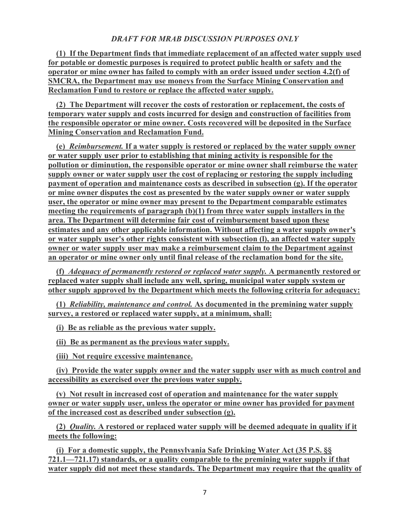**(1) If the Department finds that immediate replacement of an affected water supply used for potable or domestic purposes is required to protect public health or safety and the operator or mine owner has failed to comply with an order issued under section 4.2(f) of SMCRA, the Department may use moneys from the Surface Mining Conservation and Reclamation Fund to restore or replace the affected water supply.**

**(2) The Department will recover the costs of restoration or replacement, the costs of temporary water supply and costs incurred for design and construction of facilities from the responsible operator or mine owner. Costs recovered will be deposited in the Surface Mining Conservation and Reclamation Fund.**

**(e)** *Reimbursement.* **If a water supply is restored or replaced by the water supply owner or water supply user prior to establishing that mining activity is responsible for the pollution or diminution, the responsible operator or mine owner shall reimburse the water supply owner or water supply user the cost of replacing or restoring the supply including payment of operation and maintenance costs as described in subsection (g). If the operator or mine owner disputes the cost as presented by the water supply owner or water supply user, the operator or mine owner may present to the Department comparable estimates meeting the requirements of paragraph (b)(1) from three water supply installers in the area. The Department will determine fair cost of reimbursement based upon these estimates and any other applicable information. Without affecting a water supply owner's or water supply user's other rights consistent with subsection (l), an affected water supply owner or water supply user may make a reimbursement claim to the Department against an operator or mine owner only until final release of the reclamation bond for the site.**

**(f)** *Adequacy of permanently restored or replaced water supply.* **A permanently restored or replaced water supply shall include any well, spring, municipal water supply system or other supply approved by the Department which meets the following criteria for adequacy:**

**(1)** *Reliability, maintenance and control.* **As documented in the premining water supply survey, a restored or replaced water supply, at a minimum, shall:**

**(i) Be as reliable as the previous water supply.**

**(ii) Be as permanent as the previous water supply.**

**(iii) Not require excessive maintenance.**

**(iv) Provide the water supply owner and the water supply user with as much control and accessibility as exercised over the previous water supply.**

**(v) Not result in increased cost of operation and maintenance for the water supply owner or water supply user, unless the operator or mine owner has provided for payment of the increased cost as described under subsection (g).**

**(2)** *Quality.* **A restored or replaced water supply will be deemed adequate in quality if it meets the following:**

**(i) For a domestic supply, the Pennsylvania Safe Drinking Water Act (35 P.S. §§ 721.1—721.17) standards, or a quality comparable to the premining water supply if that water supply did not meet these standards. The Department may require that the quality of**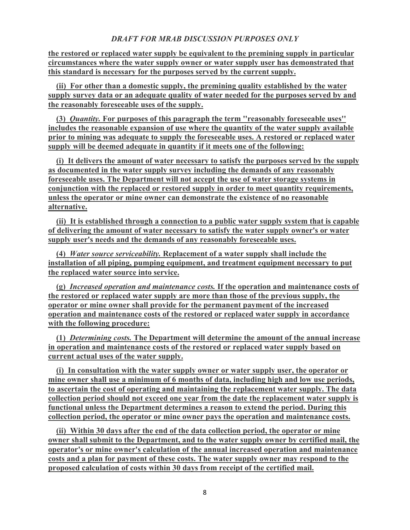**the restored or replaced water supply be equivalent to the premining supply in particular circumstances where the water supply owner or water supply user has demonstrated that this standard is necessary for the purposes served by the current supply.**

**(ii) For other than a domestic supply, the premining quality established by the water supply survey data or an adequate quality of water needed for the purposes served by and the reasonably foreseeable uses of the supply.**

**(3)** *Quantity.* **For purposes of this paragraph the term ''reasonably foreseeable uses'' includes the reasonable expansion of use where the quantity of the water supply available prior to mining was adequate to supply the foreseeable uses. A restored or replaced water supply will be deemed adequate in quantity if it meets one of the following:**

**(i) It delivers the amount of water necessary to satisfy the purposes served by the supply as documented in the water supply survey including the demands of any reasonably foreseeable uses. The Department will not accept the use of water storage systems in conjunction with the replaced or restored supply in order to meet quantity requirements, unless the operator or mine owner can demonstrate the existence of no reasonable alternative.**

**(ii) It is established through a connection to a public water supply system that is capable of delivering the amount of water necessary to satisfy the water supply owner's or water supply user's needs and the demands of any reasonably foreseeable uses.**

**(4)** *Water source serviceability.* **Replacement of a water supply shall include the installation of all piping, pumping equipment, and treatment equipment necessary to put the replaced water source into service.**

**(g)** *Increased operation and maintenance costs.* **If the operation and maintenance costs of the restored or replaced water supply are more than those of the previous supply, the operator or mine owner shall provide for the permanent payment of the increased operation and maintenance costs of the restored or replaced water supply in accordance with the following procedure:**

**(1)** *Determining costs.* **The Department will determine the amount of the annual increase in operation and maintenance costs of the restored or replaced water supply based on current actual uses of the water supply.**

**(i) In consultation with the water supply owner or water supply user, the operator or mine owner shall use a minimum of 6 months of data, including high and low use periods, to ascertain the cost of operating and maintaining the replacement water supply. The data collection period should not exceed one year from the date the replacement water supply is functional unless the Department determines a reason to extend the period. During this collection period, the operator or mine owner pays the operation and maintenance costs.**

**(ii) Within 30 days after the end of the data collection period, the operator or mine owner shall submit to the Department, and to the water supply owner by certified mail, the operator's or mine owner's calculation of the annual increased operation and maintenance costs and a plan for payment of these costs. The water supply owner may respond to the proposed calculation of costs within 30 days from receipt of the certified mail.**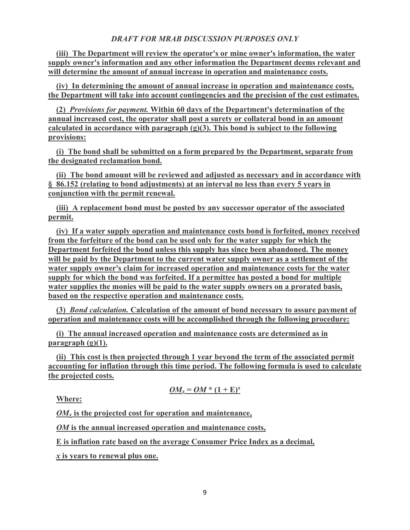**(iii) The Department will review the operator's or mine owner's information, the water supply owner's information and any other information the Department deems relevant and will determine the amount of annual increase in operation and maintenance costs.**

**(iv) In determining the amount of annual increase in operation and maintenance costs, the Department will take into account contingencies and the precision of the cost estimates.**

**(2)** *Provisions for payment.* **Within 60 days of the Department's determination of the annual increased cost, the operator shall post a surety or collateral bond in an amount calculated in accordance with paragraph (g)(3). This bond is subject to the following provisions:**

**(i) The bond shall be submitted on a form prepared by the Department, separate from the designated reclamation bond.**

**(ii) The bond amount will be reviewed and adjusted as necessary and in accordance with § 86.152 (relating to bond adjustments) at an interval no less than every 5 years in conjunction with the permit renewal.**

**(iii) A replacement bond must be posted by any successor operator of the associated permit.**

**(iv) If a water supply operation and maintenance costs bond is forfeited, money received from the forfeiture of the bond can be used only for the water supply for which the Department forfeited the bond unless this supply has since been abandoned. The money will be paid by the Department to the current water supply owner as a settlement of the water supply owner's claim for increased operation and maintenance costs for the water supply for which the bond was forfeited. If a permittee has posted a bond for multiple water supplies the monies will be paid to the water supply owners on a prorated basis, based on the respective operation and maintenance costs.**

**(3)** *Bond calculation.* **Calculation of the amount of bond necessary to assure payment of operation and maintenance costs will be accomplished through the following procedure:**

**(i) The annual increased operation and maintenance costs are determined as in paragraph (g)(1).**

**(ii) This cost is then projected through 1 year beyond the term of the associated permit accounting for inflation through this time period. The following formula is used to calculate the projected costs.**

$$
OM_x = OM * (1 + E)^x
$$

**Where:**

*OMx* **is the projected cost for operation and maintenance,**

*OM* **is the annual increased operation and maintenance costs,**

**E is inflation rate based on the average Consumer Price Index as a decimal,**

*x* **is years to renewal plus one.**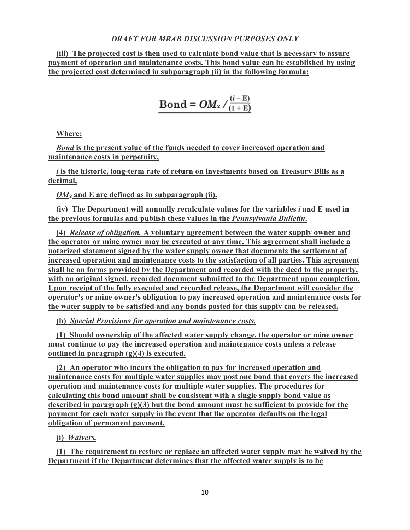**(iii) The projected cost is then used to calculate bond value that is necessary to assure payment of operation and maintenance costs. This bond value can be established by using the projected cost determined in subparagraph (ii) in the following formula:**

$$
Bond = OM_x / \frac{(i - E)}{(1 + E)}
$$

**Where:**

*Bond* **is the present value of the funds needed to cover increased operation and maintenance costs in perpetuity,**

*i* **is the historic, long-term rate of return on investments based on Treasury Bills as a decimal,**

*OMx* **and E are defined as in subparagraph (ii).**

**(iv) The Department will annually recalculate values for the variables** *i* **and E used in the previous formulas and publish these values in the** *Pennsylvania Bulletin***.**

**(4)** *Release of obligation.* **A voluntary agreement between the water supply owner and the operator or mine owner may be executed at any time. This agreement shall include a notarized statement signed by the water supply owner that documents the settlement of increased operation and maintenance costs to the satisfaction of all parties. This agreement shall be on forms provided by the Department and recorded with the deed to the property, with an original signed, recorded document submitted to the Department upon completion. Upon receipt of the fully executed and recorded release, the Department will consider the operator's or mine owner's obligation to pay increased operation and maintenance costs for the water supply to be satisfied and any bonds posted for this supply can be released.**

**(h)** *Special Provisions for operation and maintenance costs.*

**(1) Should ownership of the affected water supply change, the operator or mine owner must continue to pay the increased operation and maintenance costs unless a release outlined in paragraph (g)(4) is executed.**

**(2) An operator who incurs the obligation to pay for increased operation and maintenance costs for multiple water supplies may post one bond that covers the increased operation and maintenance costs for multiple water supplies. The procedures for calculating this bond amount shall be consistent with a single supply bond value as described in paragraph (g)(3) but the bond amount must be sufficient to provide for the payment for each water supply in the event that the operator defaults on the legal obligation of permanent payment.**

**(i)** *Waivers.*

**(1) The requirement to restore or replace an affected water supply may be waived by the Department if the Department determines that the affected water supply is to be**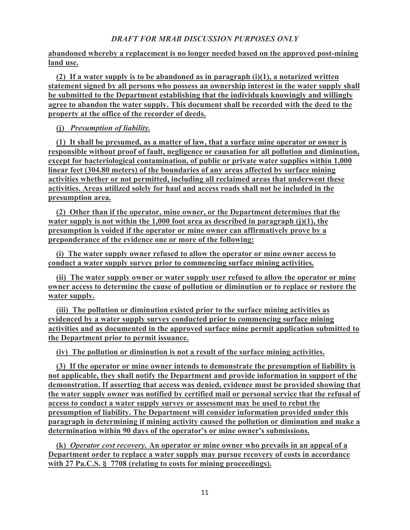# **abandoned whereby a replacement is no longer needed based on the approved post-mining land use.**

**(2) If a water supply is to be abandoned as in paragraph (i)(1), a notarized written statement signed by all persons who possess an ownership interest in the water supply shall be submitted to the Department establishing that the individuals knowingly and willingly agree to abandon the water supply. This document shall be recorded with the deed to the property at the office of the recorder of deeds.**

**(j)** *Presumption of liability.*

**(1) It shall be presumed, as a matter of law, that a surface mine operator or owner is responsible without proof of fault, negligence or causation for all pollution and diminution, except for bacteriological contamination, of public or private water supplies within 1,000 linear feet (304.80 meters) of the boundaries of any areas affected by surface mining activities whether or not permitted, including all reclaimed areas that underwent these activities. Areas utilized solely for haul and access roads shall not be included in the presumption area.**

**(2) Other than if the operator, mine owner, or the Department determines that the water supply is not within the 1,000 foot area as described in paragraph (j)(1), the presumption is voided if the operator or mine owner can affirmatively prove by a preponderance of the evidence one or more of the following:**

**(i) The water supply owner refused to allow the operator or mine owner access to conduct a water supply survey prior to commencing surface mining activities.**

**(ii) The water supply owner or water supply user refused to allow the operator or mine owner access to determine the cause of pollution or diminution or to replace or restore the water supply.**

**(iii) The pollution or diminution existed prior to the surface mining activities as evidenced by a water supply survey conducted prior to commencing surface mining activities and as documented in the approved surface mine permit application submitted to the Department prior to permit issuance.**

**(iv) The pollution or diminution is not a result of the surface mining activities.**

**(3) If the operator or mine owner intends to demonstrate the presumption of liability is not applicable, they shall notify the Department and provide information in support of the demonstration. If asserting that access was denied, evidence must be provided showing that the water supply owner was notified by certified mail or personal service that the refusal of access to conduct a water supply survey or assessment may be used to rebut the presumption of liability. The Department will consider information provided under this paragraph in determining if mining activity caused the pollution or diminution and make a determination within 90 days of the operator's or mine owner's submissions.**

**(k)** *Operator cost recovery.* **An operator or mine owner who prevails in an appeal of a Department order to replace a water supply may pursue recovery of costs in accordance with 27 Pa.C.S. § 7708 (relating to costs for mining proceedings).**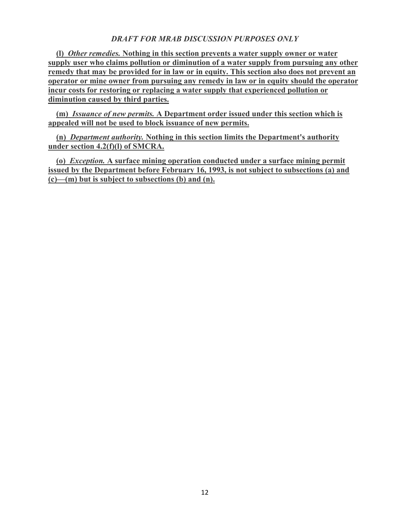**(l)** *Other remedies.* **Nothing in this section prevents a water supply owner or water supply user who claims pollution or diminution of a water supply from pursuing any other remedy that may be provided for in law or in equity. This section also does not prevent an operator or mine owner from pursuing any remedy in law or in equity should the operator incur costs for restoring or replacing a water supply that experienced pollution or diminution caused by third parties.**

**(m)** *Issuance of new permits.* **A Department order issued under this section which is appealed will not be used to block issuance of new permits.**

**(n)** *Department authority.* **Nothing in this section limits the Department's authority under section 4.2(f)(l) of SMCRA.**

**(o)** *Exception.* **A surface mining operation conducted under a surface mining permit issued by the Department before February 16, 1993, is not subject to subsections (a) and (c)—(m) but is subject to subsections (b) and (n).**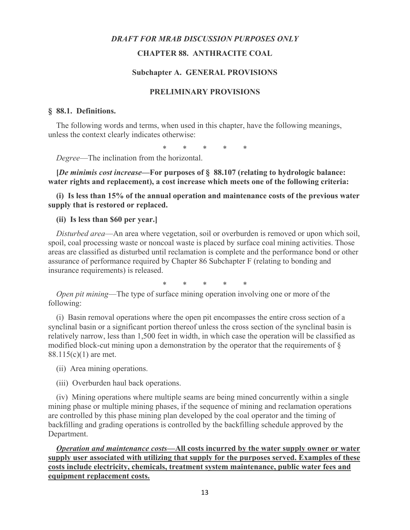### **CHAPTER 88. ANTHRACITE COAL**

#### **Subchapter A. GENERAL PROVISIONS**

### **PRELIMINARY PROVISIONS**

#### **§ 88.1. Definitions.**

The following words and terms, when used in this chapter, have the following meanings, unless the context clearly indicates otherwise:

\* \* \* \* \*

*Degree*—The inclination from the horizontal.

**[***De minimis cost increase***—For purposes of § 88.107 (relating to hydrologic balance: water rights and replacement), a cost increase which meets one of the following criteria:**

**(i) Is less than 15% of the annual operation and maintenance costs of the previous water supply that is restored or replaced.**

#### **(ii) Is less than \$60 per year.]**

*Disturbed area*—An area where vegetation, soil or overburden is removed or upon which soil, spoil, coal processing waste or noncoal waste is placed by surface coal mining activities. Those areas are classified as disturbed until reclamation is complete and the performance bond or other assurance of performance required by Chapter 86 Subchapter F (relating to bonding and insurance requirements) is released.

\* \* \* \* \*

*Open pit mining*—The type of surface mining operation involving one or more of the following:

(i) Basin removal operations where the open pit encompasses the entire cross section of a synclinal basin or a significant portion thereof unless the cross section of the synclinal basin is relatively narrow, less than 1,500 feet in width, in which case the operation will be classified as modified block-cut mining upon a demonstration by the operator that the requirements of § 88.115(c)(1) are met.

(ii) Area mining operations.

(iii) Overburden haul back operations.

(iv) Mining operations where multiple seams are being mined concurrently within a single mining phase or multiple mining phases, if the sequence of mining and reclamation operations are controlled by this phase mining plan developed by the coal operator and the timing of backfilling and grading operations is controlled by the backfilling schedule approved by the Department.

*Operation and maintenance costs***—All costs incurred by the water supply owner or water supply user associated with utilizing that supply for the purposes served. Examples of these costs include electricity, chemicals, treatment system maintenance, public water fees and equipment replacement costs.**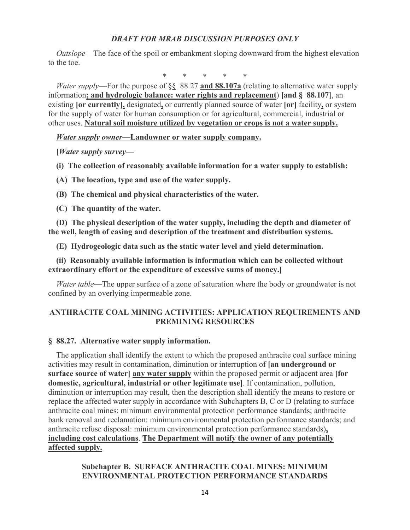*Outslope*—The face of the spoil or embankment sloping downward from the highest elevation to the toe.

\* \* \* \* \*

*Water supply*—For the purpose of §§ 88.27 **and 88.107a** (relating to alternative water supply information**; and hydrologic balance: water rights and replacement**) **[and § 88.107]**, an existing **[or currently],** designated**,** or currently planned source of water **[or]** facility**,** or system for the supply of water for human consumption or for agricultural, commercial, industrial or other uses. **Natural soil moisture utilized by vegetation or crops is not a water supply.**

*Water supply owner***—Landowner or water supply company.**

**[***Water supply survey***—**

**(i) The collection of reasonably available information for a water supply to establish:**

- **(A) The location, type and use of the water supply.**
- **(B) The chemical and physical characteristics of the water.**
- **(C) The quantity of the water.**

**(D) The physical description of the water supply, including the depth and diameter of the well, length of casing and description of the treatment and distribution systems.**

**(E) Hydrogeologic data such as the static water level and yield determination.**

**(ii) Reasonably available information is information which can be collected without extraordinary effort or the expenditure of excessive sums of money.]**

*Water table*—The upper surface of a zone of saturation where the body or groundwater is not confined by an overlying impermeable zone.

# **ANTHRACITE COAL MINING ACTIVITIES: APPLICATION REQUIREMENTS AND PREMINING RESOURCES**

### **§ 88.27. Alternative water supply information.**

The application shall identify the extent to which the proposed anthracite coal surface mining activities may result in contamination, diminution or interruption of **[an underground or surface source of water] any water supply** within the proposed permit or adjacent area **[for domestic, agricultural, industrial or other legitimate use]**. If contamination, pollution, diminution or interruption may result, then the description shall identify the means to restore or replace the affected water supply in accordance with Subchapters B, C or D (relating to surface anthracite coal mines: minimum environmental protection performance standards; anthracite bank removal and reclamation: minimum environmental protection performance standards; and anthracite refuse disposal: minimum environmental protection performance standards)**, including cost calculations**. **The Department will notify the owner of any potentially affected supply.**

# **Subchapter B. SURFACE ANTHRACITE COAL MINES: MINIMUM ENVIRONMENTAL PROTECTION PERFORMANCE STANDARDS**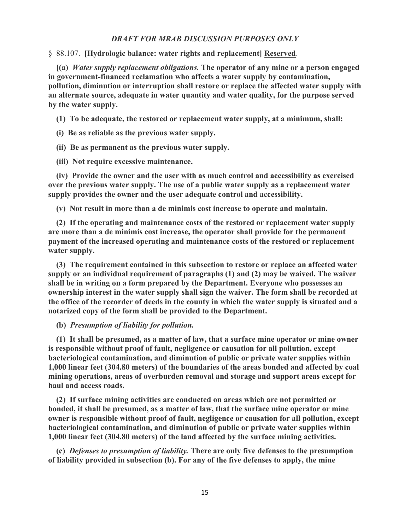§ 88.107. **[Hydrologic balance: water rights and replacement] Reserved**.

**[(a)** *Water supply replacement obligations.* **The operator of any mine or a person engaged in government-financed reclamation who affects a water supply by contamination, pollution, diminution or interruption shall restore or replace the affected water supply with an alternate source, adequate in water quantity and water quality, for the purpose served by the water supply.**

**(1) To be adequate, the restored or replacement water supply, at a minimum, shall:**

**(i) Be as reliable as the previous water supply.**

**(ii) Be as permanent as the previous water supply.**

**(iii) Not require excessive maintenance.**

**(iv) Provide the owner and the user with as much control and accessibility as exercised over the previous water supply. The use of a public water supply as a replacement water supply provides the owner and the user adequate control and accessibility.**

**(v) Not result in more than a de minimis cost increase to operate and maintain.**

**(2) If the operating and maintenance costs of the restored or replacement water supply are more than a de minimis cost increase, the operator shall provide for the permanent payment of the increased operating and maintenance costs of the restored or replacement water supply.**

**(3) The requirement contained in this subsection to restore or replace an affected water supply or an individual requirement of paragraphs (1) and (2) may be waived. The waiver shall be in writing on a form prepared by the Department. Everyone who possesses an ownership interest in the water supply shall sign the waiver. The form shall be recorded at the office of the recorder of deeds in the county in which the water supply is situated and a notarized copy of the form shall be provided to the Department.**

#### **(b)** *Presumption of liability for pollution.*

**(1) It shall be presumed, as a matter of law, that a surface mine operator or mine owner is responsible without proof of fault, negligence or causation for all pollution, except bacteriological contamination, and diminution of public or private water supplies within 1,000 linear feet (304.80 meters) of the boundaries of the areas bonded and affected by coal mining operations, areas of overburden removal and storage and support areas except for haul and access roads.**

**(2) If surface mining activities are conducted on areas which are not permitted or bonded, it shall be presumed, as a matter of law, that the surface mine operator or mine owner is responsible without proof of fault, negligence or causation for all pollution, except bacteriological contamination, and diminution of public or private water supplies within 1,000 linear feet (304.80 meters) of the land affected by the surface mining activities.**

**(c)** *Defenses to presumption of liability.* **There are only five defenses to the presumption of liability provided in subsection (b). For any of the five defenses to apply, the mine**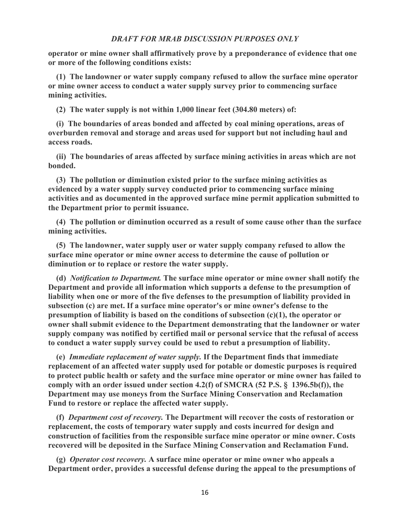**operator or mine owner shall affirmatively prove by a preponderance of evidence that one or more of the following conditions exists:**

**(1) The landowner or water supply company refused to allow the surface mine operator or mine owner access to conduct a water supply survey prior to commencing surface mining activities.**

**(2) The water supply is not within 1,000 linear feet (304.80 meters) of:**

**(i) The boundaries of areas bonded and affected by coal mining operations, areas of overburden removal and storage and areas used for support but not including haul and access roads.**

**(ii) The boundaries of areas affected by surface mining activities in areas which are not bonded.**

**(3) The pollution or diminution existed prior to the surface mining activities as evidenced by a water supply survey conducted prior to commencing surface mining activities and as documented in the approved surface mine permit application submitted to the Department prior to permit issuance.**

**(4) The pollution or diminution occurred as a result of some cause other than the surface mining activities.**

**(5) The landowner, water supply user or water supply company refused to allow the surface mine operator or mine owner access to determine the cause of pollution or diminution or to replace or restore the water supply.**

**(d)** *Notification to Department.* **The surface mine operator or mine owner shall notify the Department and provide all information which supports a defense to the presumption of liability when one or more of the five defenses to the presumption of liability provided in subsection (c) are met. If a surface mine operator's or mine owner's defense to the presumption of liability is based on the conditions of subsection (c)(1), the operator or owner shall submit evidence to the Department demonstrating that the landowner or water supply company was notified by certified mail or personal service that the refusal of access to conduct a water supply survey could be used to rebut a presumption of liability.**

**(e)** *Immediate replacement of water supply.* **If the Department finds that immediate replacement of an affected water supply used for potable or domestic purposes is required to protect public health or safety and the surface mine operator or mine owner has failed to comply with an order issued under section 4.2(f) of SMCRA (52 P.S. § 1396.5b(f)), the Department may use moneys from the Surface Mining Conservation and Reclamation Fund to restore or replace the affected water supply.**

**(f)** *Department cost of recovery.* **The Department will recover the costs of restoration or replacement, the costs of temporary water supply and costs incurred for design and construction of facilities from the responsible surface mine operator or mine owner. Costs recovered will be deposited in the Surface Mining Conservation and Reclamation Fund.**

**(g)** *Operator cost recovery.* **A surface mine operator or mine owner who appeals a Department order, provides a successful defense during the appeal to the presumptions of**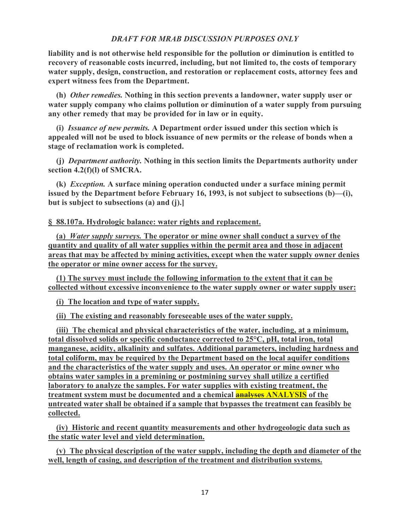**liability and is not otherwise held responsible for the pollution or diminution is entitled to recovery of reasonable costs incurred, including, but not limited to, the costs of temporary water supply, design, construction, and restoration or replacement costs, attorney fees and expert witness fees from the Department.**

**(h)** *Other remedies.* **Nothing in this section prevents a landowner, water supply user or water supply company who claims pollution or diminution of a water supply from pursuing any other remedy that may be provided for in law or in equity.**

**(i)** *Issuance of new permits.* **A Department order issued under this section which is appealed will not be used to block issuance of new permits or the release of bonds when a stage of reclamation work is completed.**

**(j)** *Department authority.* **Nothing in this section limits the Departments authority under section 4.2(f)(l) of SMCRA.**

**(k)** *Exception.* **A surface mining operation conducted under a surface mining permit issued by the Department before February 16, 1993, is not subject to subsections (b)—(i), but is subject to subsections (a) and (j).]**

**§ 88.107a. Hydrologic balance: water rights and replacement.**

**(a)** *Water supply surveys.* **The operator or mine owner shall conduct a survey of the quantity and quality of all water supplies within the permit area and those in adjacent areas that may be affected by mining activities, except when the water supply owner denies the operator or mine owner access for the survey.**

**(1) The survey must include the following information to the extent that it can be collected without excessive inconvenience to the water supply owner or water supply user:**

**(i) The location and type of water supply.**

**(ii) The existing and reasonably foreseeable uses of the water supply.**

**(iii) The chemical and physical characteristics of the water, including, at a minimum, total dissolved solids or specific conductance corrected to 25°C, pH, total iron, total manganese, acidity, alkalinity and sulfates. Additional parameters, including hardness and total coliform, may be required by the Department based on the local aquifer conditions and the characteristics of the water supply and uses. An operator or mine owner who obtains water samples in a premining or postmining survey shall utilize a certified laboratory to analyze the samples. For water supplies with existing treatment, the treatment system must be documented and a chemical analyses ANALYSIS of the untreated water shall be obtained if a sample that bypasses the treatment can feasibly be collected.**

**(iv) Historic and recent quantity measurements and other hydrogeologic data such as the static water level and yield determination.**

**(v) The physical description of the water supply, including the depth and diameter of the well, length of casing, and description of the treatment and distribution systems.**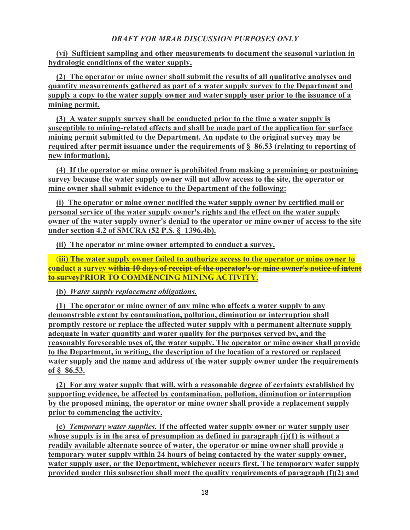**(vi) Sufficient sampling and other measurements to document the seasonal variation in hydrologic conditions of the water supply.**

**(2) The operator or mine owner shall submit the results of all qualitative analyses and quantity measurements gathered as part of a water supply survey to the Department and supply a copy to the water supply owner and water supply user prior to the issuance of a mining permit.**

**(3) A water supply survey shall be conducted prior to the time a water supply is susceptible to mining-related effects and shall be made part of the application for surface mining permit submitted to the Department. An update to the original survey may be required after permit issuance under the requirements of § 86.53 (relating to reporting of new information).**

**(4) If the operator or mine owner is prohibited from making a premining or postmining survey because the water supply owner will not allow access to the site, the operator or mine owner shall submit evidence to the Department of the following:**

**(i) The operator or mine owner notified the water supply owner by certified mail or personal service of the water supply owner's rights and the effect on the water supply owner of the water supply owner's denial to the operator or mine owner of access to the site under section 4.2 of SMCRA (52 P.S. § 1396.4b).**

**(ii) The operator or mine owner attempted to conduct a survey.**

 (**iii) The water supply owner failed to authorize access to the operator or mine owner to conduct a survey within 10 days of receipt of the operator's or mine owner's notice of intent to surveyPRIOR TO COMMENCING MINING ACTIVITY.**

**(b)** *Water supply replacement obligations.*

**(1) The operator or mine owner of any mine who affects a water supply to any demonstrable extent by contamination, pollution, diminution or interruption shall promptly restore or replace the affected water supply with a permanent alternate supply adequate in water quantity and water quality for the purposes served by, and the reasonably foreseeable uses of, the water supply. The operator or mine owner shall provide to the Department, in writing, the description of the location of a restored or replaced water supply and the name and address of the water supply owner under the requirements of § 86.53.**

**(2) For any water supply that will, with a reasonable degree of certainty established by supporting evidence, be affected by contamination, pollution, diminution or interruption by the proposed mining, the operator or mine owner shall provide a replacement supply prior to commencing the activity.**

**(c)** *Temporary water supplies.* **If the affected water supply owner or water supply user whose supply is in the area of presumption as defined in paragraph (j)(1) is without a readily available alternate source of water, the operator or mine owner shall provide a temporary water supply within 24 hours of being contacted by the water supply owner, water supply user, or the Department, whichever occurs first. The temporary water supply provided under this subsection shall meet the quality requirements of paragraph (f)(2) and**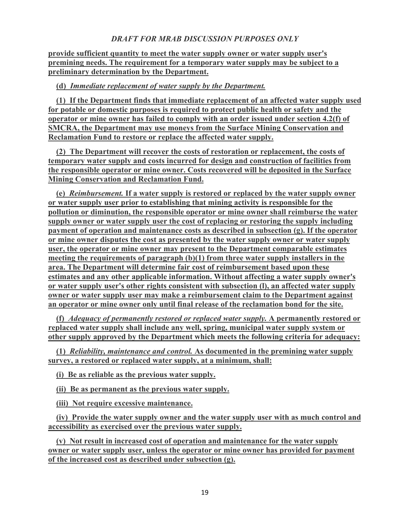**provide sufficient quantity to meet the water supply owner or water supply user's premining needs. The requirement for a temporary water supply may be subject to a preliminary determination by the Department.**

# **(d)** *Immediate replacement of water supply by the Department.*

**(1) If the Department finds that immediate replacement of an affected water supply used for potable or domestic purposes is required to protect public health or safety and the operator or mine owner has failed to comply with an order issued under section 4.2(f) of SMCRA, the Department may use moneys from the Surface Mining Conservation and Reclamation Fund to restore or replace the affected water supply.**

**(2) The Department will recover the costs of restoration or replacement, the costs of temporary water supply and costs incurred for design and construction of facilities from the responsible operator or mine owner. Costs recovered will be deposited in the Surface Mining Conservation and Reclamation Fund.**

**(e)** *Reimbursement.* **If a water supply is restored or replaced by the water supply owner or water supply user prior to establishing that mining activity is responsible for the pollution or diminution, the responsible operator or mine owner shall reimburse the water supply owner or water supply user the cost of replacing or restoring the supply including payment of operation and maintenance costs as described in subsection (g). If the operator or mine owner disputes the cost as presented by the water supply owner or water supply user, the operator or mine owner may present to the Department comparable estimates meeting the requirements of paragraph (b)(1) from three water supply installers in the area. The Department will determine fair cost of reimbursement based upon these estimates and any other applicable information. Without affecting a water supply owner's or water supply user's other rights consistent with subsection (l), an affected water supply owner or water supply user may make a reimbursement claim to the Department against an operator or mine owner only until final release of the reclamation bond for the site.**

**(f)** *Adequacy of permanently restored or replaced water supply.* **A permanently restored or replaced water supply shall include any well, spring, municipal water supply system or other supply approved by the Department which meets the following criteria for adequacy:**

**(1)** *Reliability, maintenance and control.* **As documented in the premining water supply survey, a restored or replaced water supply, at a minimum, shall:**

**(i) Be as reliable as the previous water supply.**

**(ii) Be as permanent as the previous water supply.**

**(iii) Not require excessive maintenance.**

**(iv) Provide the water supply owner and the water supply user with as much control and accessibility as exercised over the previous water supply.**

**(v) Not result in increased cost of operation and maintenance for the water supply owner or water supply user, unless the operator or mine owner has provided for payment of the increased cost as described under subsection (g).**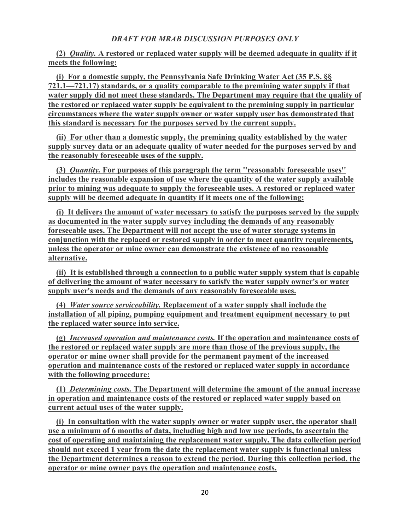# **(2)** *Quality.* **A restored or replaced water supply will be deemed adequate in quality if it meets the following:**

**(i) For a domestic supply, the Pennsylvania Safe Drinking Water Act (35 P.S. §§ 721.1—721.17) standards, or a quality comparable to the premining water supply if that water supply did not meet these standards. The Department may require that the quality of the restored or replaced water supply be equivalent to the premining supply in particular circumstances where the water supply owner or water supply user has demonstrated that this standard is necessary for the purposes served by the current supply.**

**(ii) For other than a domestic supply, the premining quality established by the water supply survey data or an adequate quality of water needed for the purposes served by and the reasonably foreseeable uses of the supply.**

**(3)** *Quantity.* **For purposes of this paragraph the term ''reasonably foreseeable uses'' includes the reasonable expansion of use where the quantity of the water supply available prior to mining was adequate to supply the foreseeable uses. A restored or replaced water supply will be deemed adequate in quantity if it meets one of the following:**

**(i) It delivers the amount of water necessary to satisfy the purposes served by the supply as documented in the water supply survey including the demands of any reasonably foreseeable uses. The Department will not accept the use of water storage systems in conjunction with the replaced or restored supply in order to meet quantity requirements, unless the operator or mine owner can demonstrate the existence of no reasonable alternative.**

**(ii) It is established through a connection to a public water supply system that is capable of delivering the amount of water necessary to satisfy the water supply owner's or water supply user's needs and the demands of any reasonably foreseeable uses.**

**(4)** *Water source serviceability.* **Replacement of a water supply shall include the installation of all piping, pumping equipment and treatment equipment necessary to put the replaced water source into service.**

**(g)** *Increased operation and maintenance costs.* **If the operation and maintenance costs of the restored or replaced water supply are more than those of the previous supply, the operator or mine owner shall provide for the permanent payment of the increased operation and maintenance costs of the restored or replaced water supply in accordance with the following procedure:**

**(1)** *Determining costs.* **The Department will determine the amount of the annual increase in operation and maintenance costs of the restored or replaced water supply based on current actual uses of the water supply.**

**(i) In consultation with the water supply owner or water supply user, the operator shall use a minimum of 6 months of data, including high and low use periods, to ascertain the cost of operating and maintaining the replacement water supply. The data collection period should not exceed 1 year from the date the replacement water supply is functional unless the Department determines a reason to extend the period. During this collection period, the operator or mine owner pays the operation and maintenance costs.**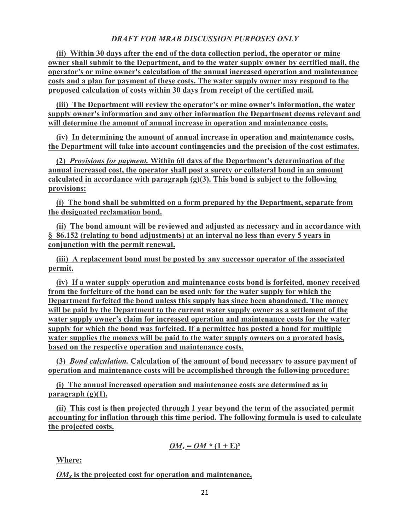**(ii) Within 30 days after the end of the data collection period, the operator or mine owner shall submit to the Department, and to the water supply owner by certified mail, the operator's or mine owner's calculation of the annual increased operation and maintenance costs and a plan for payment of these costs. The water supply owner may respond to the proposed calculation of costs within 30 days from receipt of the certified mail.**

**(iii) The Department will review the operator's or mine owner's information, the water supply owner's information and any other information the Department deems relevant and will determine the amount of annual increase in operation and maintenance costs.**

**(iv) In determining the amount of annual increase in operation and maintenance costs, the Department will take into account contingencies and the precision of the cost estimates.**

**(2)** *Provisions for payment.* **Within 60 days of the Department's determination of the annual increased cost, the operator shall post a surety or collateral bond in an amount calculated in accordance with paragraph (g)(3). This bond is subject to the following provisions:**

**(i) The bond shall be submitted on a form prepared by the Department, separate from the designated reclamation bond.**

**(ii) The bond amount will be reviewed and adjusted as necessary and in accordance with § 86.152 (relating to bond adjustments) at an interval no less than every 5 years in conjunction with the permit renewal.**

**(iii) A replacement bond must be posted by any successor operator of the associated permit.**

**(iv) If a water supply operation and maintenance costs bond is forfeited, money received from the forfeiture of the bond can be used only for the water supply for which the Department forfeited the bond unless this supply has since been abandoned. The money will be paid by the Department to the current water supply owner as a settlement of the water supply owner's claim for increased operation and maintenance costs for the water supply for which the bond was forfeited. If a permittee has posted a bond for multiple water supplies the moneys will be paid to the water supply owners on a prorated basis, based on the respective operation and maintenance costs.**

**(3)** *Bond calculation.* **Calculation of the amount of bond necessary to assure payment of operation and maintenance costs will be accomplished through the following procedure:**

**(i) The annual increased operation and maintenance costs are determined as in paragraph (g)(1).**

**(ii) This cost is then projected through 1 year beyond the term of the associated permit accounting for inflation through this time period. The following formula is used to calculate the projected costs.**

$$
OM_x = OM * (1 + E)^x
$$

**Where:**

*OMx* **is the projected cost for operation and maintenance,**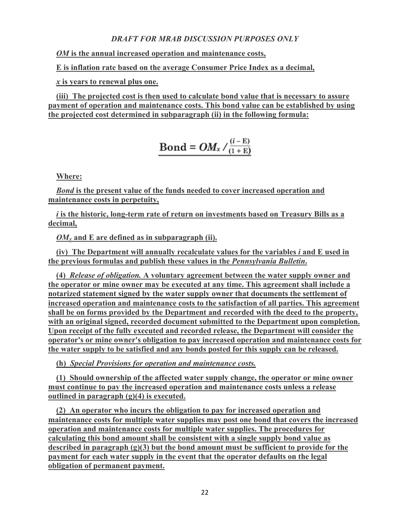*OM* **is the annual increased operation and maintenance costs,**

**E is inflation rate based on the average Consumer Price Index as a decimal,**

*x* **is years to renewal plus one.**

**(iii) The projected cost is then used to calculate bond value that is necessary to assure payment of operation and maintenance costs. This bond value can be established by using the projected cost determined in subparagraph (ii) in the following formula:**

$$
Bond = OM_x / \frac{(i - E)}{(1 + E)}
$$

**Where:**

*Bond* **is the present value of the funds needed to cover increased operation and maintenance costs in perpetuity,**

*i* **is the historic, long-term rate of return on investments based on Treasury Bills as a decimal,**

*OMx* **and E are defined as in subparagraph (ii).**

**(iv) The Department will annually recalculate values for the variables** *i* **and E used in the previous formulas and publish these values in the** *Pennsylvania Bulletin***.**

**(4)** *Release of obligation.* **A voluntary agreement between the water supply owner and the operator or mine owner may be executed at any time. This agreement shall include a notarized statement signed by the water supply owner that documents the settlement of increased operation and maintenance costs to the satisfaction of all parties. This agreement shall be on forms provided by the Department and recorded with the deed to the property, with an original signed, recorded document submitted to the Department upon completion. Upon receipt of the fully executed and recorded release, the Department will consider the operator's or mine owner's obligation to pay increased operation and maintenance costs for the water supply to be satisfied and any bonds posted for this supply can be released.**

**(h)** *Special Provisions for operation and maintenance costs.*

**(1) Should ownership of the affected water supply change, the operator or mine owner must continue to pay the increased operation and maintenance costs unless a release outlined in paragraph (g)(4) is executed.**

**(2) An operator who incurs the obligation to pay for increased operation and maintenance costs for multiple water supplies may post one bond that covers the increased operation and maintenance costs for multiple water supplies. The procedures for calculating this bond amount shall be consistent with a single supply bond value as described in paragraph (g)(3) but the bond amount must be sufficient to provide for the payment for each water supply in the event that the operator defaults on the legal obligation of permanent payment.**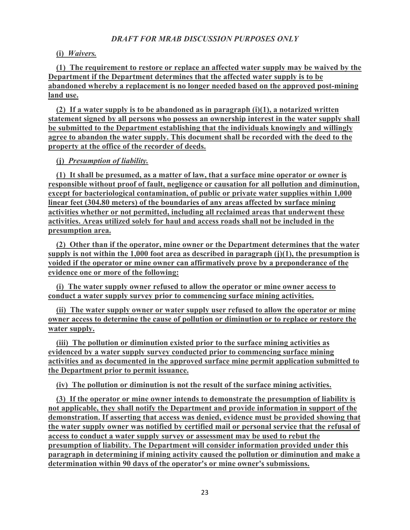## **(i)** *Waivers.*

**(1) The requirement to restore or replace an affected water supply may be waived by the Department if the Department determines that the affected water supply is to be abandoned whereby a replacement is no longer needed based on the approved post-mining land use.**

**(2) If a water supply is to be abandoned as in paragraph (i)(1), a notarized written statement signed by all persons who possess an ownership interest in the water supply shall be submitted to the Department establishing that the individuals knowingly and willingly agree to abandon the water supply. This document shall be recorded with the deed to the property at the office of the recorder of deeds.**

**(j)** *Presumption of liability.*

**(1) It shall be presumed, as a matter of law, that a surface mine operator or owner is responsible without proof of fault, negligence or causation for all pollution and diminution, except for bacteriological contamination, of public or private water supplies within 1,000 linear feet (304.80 meters) of the boundaries of any areas affected by surface mining activities whether or not permitted, including all reclaimed areas that underwent these activities. Areas utilized solely for haul and access roads shall not be included in the presumption area.**

**(2) Other than if the operator, mine owner or the Department determines that the water supply is not within the 1,000 foot area as described in paragraph (j)(1), the presumption is voided if the operator or mine owner can affirmatively prove by a preponderance of the evidence one or more of the following:**

**(i) The water supply owner refused to allow the operator or mine owner access to conduct a water supply survey prior to commencing surface mining activities.**

**(ii) The water supply owner or water supply user refused to allow the operator or mine owner access to determine the cause of pollution or diminution or to replace or restore the water supply.**

**(iii) The pollution or diminution existed prior to the surface mining activities as evidenced by a water supply survey conducted prior to commencing surface mining activities and as documented in the approved surface mine permit application submitted to the Department prior to permit issuance.**

**(iv) The pollution or diminution is not the result of the surface mining activities.**

**(3) If the operator or mine owner intends to demonstrate the presumption of liability is not applicable, they shall notify the Department and provide information in support of the demonstration. If asserting that access was denied, evidence must be provided showing that the water supply owner was notified by certified mail or personal service that the refusal of access to conduct a water supply survey or assessment may be used to rebut the presumption of liability. The Department will consider information provided under this paragraph in determining if mining activity caused the pollution or diminution and make a determination within 90 days of the operator's or mine owner's submissions.**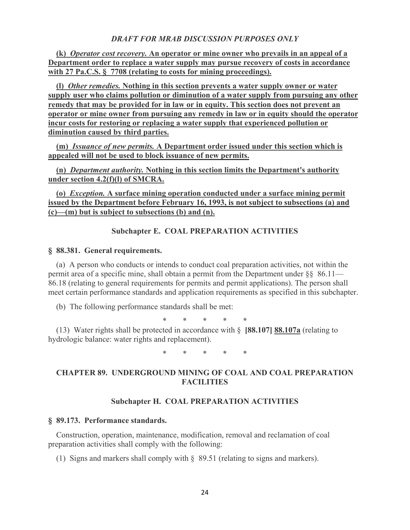**(k)** *Operator cost recovery.* **An operator or mine owner who prevails in an appeal of a Department order to replace a water supply may pursue recovery of costs in accordance with 27 Pa.C.S. § 7708 (relating to costs for mining proceedings).**

**(l)** *Other remedies.* **Nothing in this section prevents a water supply owner or water supply user who claims pollution or diminution of a water supply from pursuing any other remedy that may be provided for in law or in equity. This section does not prevent an operator or mine owner from pursuing any remedy in law or in equity should the operator incur costs for restoring or replacing a water supply that experienced pollution or diminution caused by third parties.**

**(m)** *Issuance of new permits.* **A Department order issued under this section which is appealed will not be used to block issuance of new permits.**

**(n)** *Department authority.* **Nothing in this section limits the Department's authority under section 4.2(f)(l) of SMCRA.**

**(o)** *Exception.* **A surface mining operation conducted under a surface mining permit issued by the Department before February 16, 1993, is not subject to subsections (a) and (c)—(m) but is subject to subsections (b) and (n).**

### **Subchapter E. COAL PREPARATION ACTIVITIES**

#### **§ 88.381. General requirements.**

(a) A person who conducts or intends to conduct coal preparation activities, not within the permit area of a specific mine, shall obtain a permit from the Department under  $\S$ § 86.11— 86.18 (relating to general requirements for permits and permit applications). The person shall meet certain performance standards and application requirements as specified in this subchapter.

(b) The following performance standards shall be met:

\* \* \* \* \*

(13) Water rights shall be protected in accordance with § **[88.107] 88.107a** (relating to hydrologic balance: water rights and replacement).

\* \* \* \* \*

## **CHAPTER 89. UNDERGROUND MINING OF COAL AND COAL PREPARATION FACILITIES**

### **Subchapter H. COAL PREPARATION ACTIVITIES**

## **§ 89.173. Performance standards.**

Construction, operation, maintenance, modification, removal and reclamation of coal preparation activities shall comply with the following:

(1) Signs and markers shall comply with § 89.51 (relating to signs and markers).